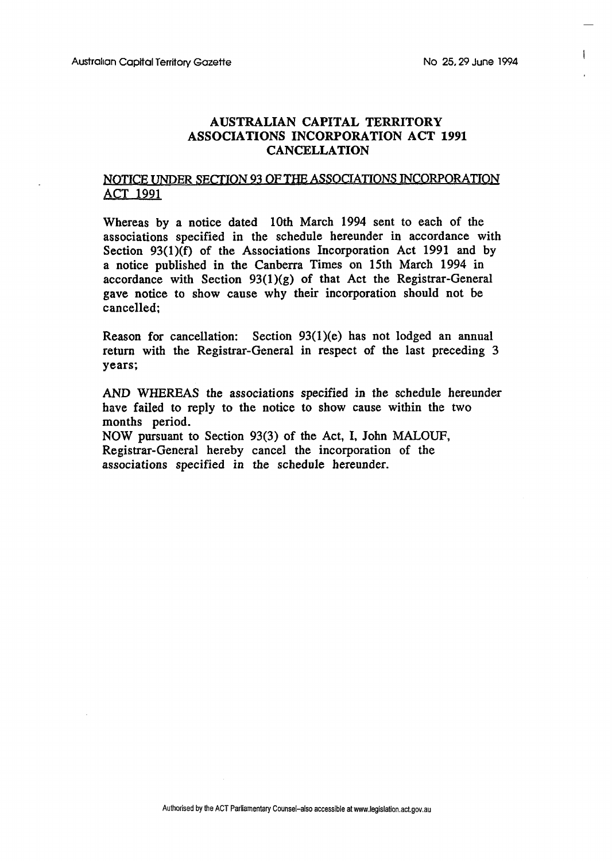$\mathbf{I}$ 

## **AUSTRALIAN CAPITAL TERRITORY ASSOCIATIONS INCORPORATION ACT 1991 CANCELLATION**

## **JWTICE** UNDER **SECTION** 93 OF THE **ASSOCIATIONS INCORPORATIOI?**  ACT 1991

Whereas by a notice dated 10th March 1994 sent to each of the associations specified in the schedule hereunder in accordance with Section 93(1)(f) of the Associations Incorporation Act 1991 and by a notice published in the Canberra Times on 15th March 1994 in accordance with Section  $93(1)(g)$  of that Act the Registrar-General gave notice to show cause why their incorporation should not be cancelled;

Reason for cancellation: Section  $93(1)(e)$  has not lodged an annual return with the Registrar-General in respect of the last preceding 3 years;

AND WHEREAS the associations specified in the schedule hereunder have failed to reply to the notice to show cause within the two months period. **NOW** pursuant to Section 93(3) of the Act, I, John MALOUF, Registrar-General hereby cancel the incorporation of the

associations specified in the schedule hereunder.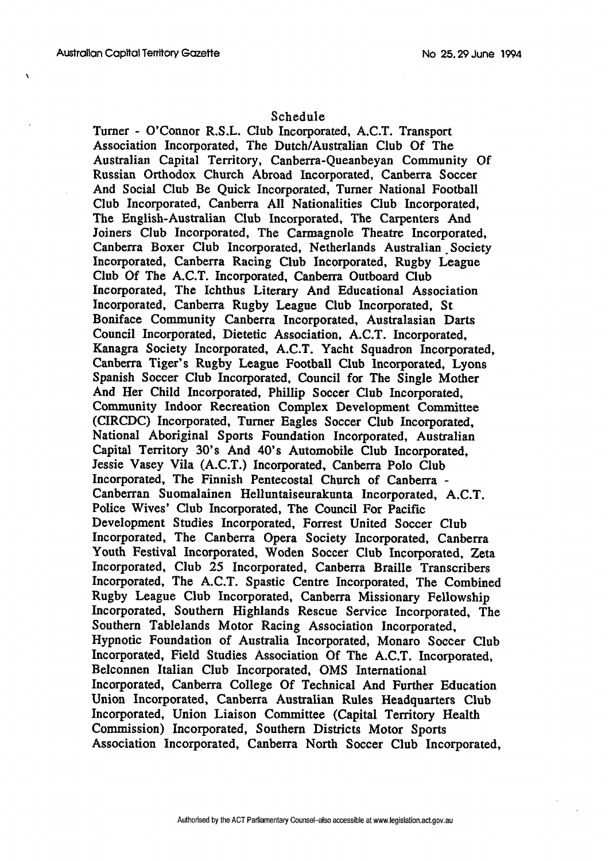$\lambda$ 

## Schedule

Turner - O'Connor R.S.L. Club Incorporated, A.C.T. Transport Association Incorporated, The Dutch/Australian Club Of The Australian Capital Territory, Canberra-Queanbeyan Community Of Russian Orthodox Church Abroad Incorporated, Canberra Soccer And Social Club Be Quick Incorporated, Turner National Football Club Incorporated, Canberra All Nationalities Club Incorporated, The English-Australian Club Incorporated, The Carpenters And Joiners Club Incorporated, The Carmagnole Theatre Incorporated, Canberra Boxer Club Incorporated, Netherlands Australian Society Incorporated, Canberra Racing Club Incorporated, Rugby League Club Of The A.C.T. Incorporated, Canberra Outboard Club Incorporated, The Ichthus Literary And Educational Association Incorporated, Canberra Rugby League Club Incorporated, St Boniface Community Canberra Incorporated, Australasian **Darts**  Council Incorporated, Dietetic Association, A.C.T. Incorporated, Kanagra Society Incorporated, A.C.T. Yacht Squadron Incorporated, Canberra Tiger's Rugby League Football Club Incorporated, Lyons Spanish Soccer Club Incorporated, Council for The Single Mother And Her Child Incorporated, Phillip Soccer Club Incorporated, Community Indoor Recreation Complex Development Committee (CIRCDC) Incorporated, Turner Eagles Soccer Club Incorporated, National Aboriginal Sports Foundation Incorporated, Australian Capital Territory 30's And 40's Automobile Club Incorporated, Jessie Vasey Vila (A.C.T.) Incorporated, Canberra Polo Club Incorporated, The Finnish Pentecostal Church of Canberra - Canberran Suomalainen Helluntaiseurakunta Incorporated, A.C.T. Police Wives' Club Incorporated, The Council For Pacific Development Studies Incorporated, Forrest United Soccer Club Incorporated, The Canberra Opera Society Incorporated, Canberra Youth Festival Incorporated, Woden Soccer Club Incorporated, Zeta Incorporated, Club 25 Incorporated, Canberra Braille Transcribers Incorporated, The A.C.T. Spastic Centre Incorporated, The Combined Rugby League Club Incorporated, Canberra Missionary Fellowship Incorporated, Southern Highlands Rescue Service Incorporated, The Southern Tablelands Motor Racing Association Incorporated, Hypnotic Foundation of Australia Incorporated, Monaro Soccer Club Incorporated, Field Studies Association Of The A.C.T. Incorporated, Belconnen Italian Club Incorporated, **OMS** International Incorporated, Canberra College Of Technical And Further Education Union Incorporated, Canberra Australian Rules Headquarters Club Incorporated, Union Liaison Committee (Capital Territory Health Commission) Incorporated, Southern Districts Motor Sports Association Incorporated, Canberra North Soccer Club Incorporated,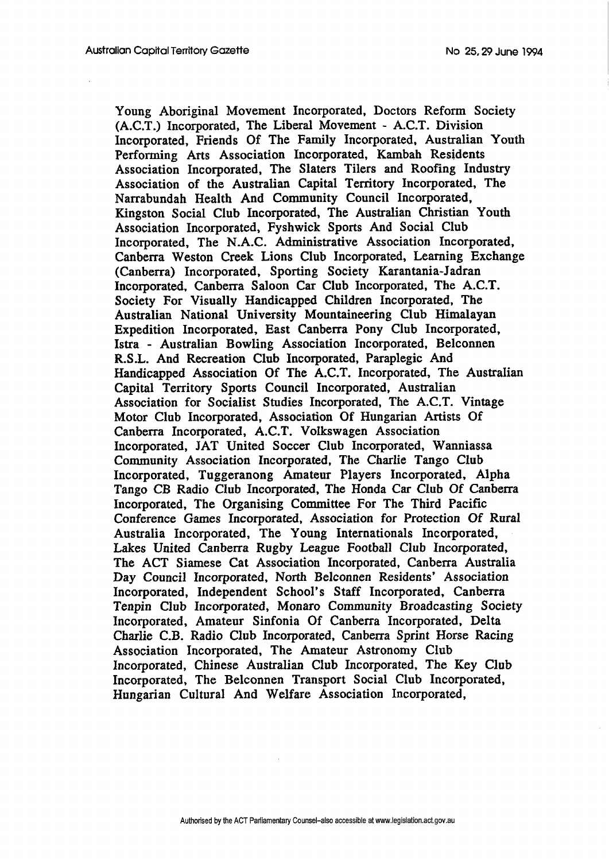Young Aboriginal Movement Incorporated, Doctors Reform Society (A.C.T.) Incorporated, The Liberal Movement - A.C.T. Division Incorporated, Friends Of The Family Incorporated, Australian Youth Performing Arts Association Incorporated, Kambah Residents Association Incorporated, The Slaters Tilers and Roofing Industry Association of the Australian Capital Territory Incorporated, The Narrabundah Health And Community Council Incorporated, Kingston Social Club Incorporated, The Australian Christian Youth Association Incorporated, Fyshwick Sports And Social Club Incorporated, The N.A.C. Administrative Association Incorporated, Canberra Weston Creek Lions Club Incorporated, Learning Exchange (Canberra) Incorporated, Sporting Society Karantania-Jadran Incorporated, Canberra Saloon Car Club Incorporated, The A.C.T. Society For Visually Handicapped Children Incorporated, The Australian National University Mountaineering Club Himalayan Expedition Incorporated, East Canberra Pony Club Incorporated, Istra - Australian Bowling Association Incorporated, Belconnen R.S.L. And Recreation Club Incorporated, Paraplegic And Handicapped Association Of The A.C.T. Incorporated, The Australian Capital Territory Sports Council Incorporated, Australian Association for Socialist Studies Incorporated, The A.C.T. Vintage Motor Club Incorporated, Association Of Hungarian Artists Of Canberra Incorporated, A.C.T. Volkswagen Association Incorporated, JAT United Soccer Club Incorporated, Wanniassa Community Association Incorporated, The Charlie Tango Club Incorporated, Tuggeranong Amateur Players Incorporated, Alpha Tango CB Radio Club Incorporated, The Honda Car Club Of Canberra Incorporated, The Organising Committee For The Third Pacific Conference Games Incorporated, Association for Protection Of Rural Australia Incorporated, The Young Internationals Incorporated, Lakes United Canberra Rugby League Football Club Incorporated, The ACT Siamese Cat Association Incorporated, Canberra Australia Day Council Incorporated, North Belconnen Residents' Association Incorporated, Independent School's Staff Incorporated, Canberra Tenpin Club Incorporated, Monaro Community Broadcasting Society Incorporated, Amateur Sinfonia Of Canberra Incorporated, Delta Charlie C.B. Radio Club Incorporated, Canberra Sprint Horse Racing Association Incorporated, The Amateur Astronomy Club Incorporated, Chinese Australian Club Incorporated, The Key Club Incorporated, The Belconnen Transport Social Club Incorporated, Hungarian Cultural And Welfare Association Incorporated,